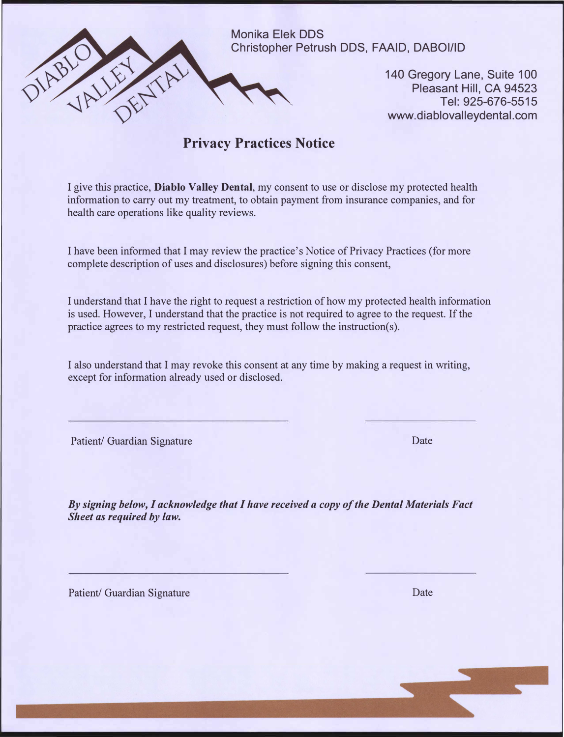

140 Gregory Lane, Suite 100 Pleasant Hill, CA 94523 Tel: 925-676-5515 www.diablovalleydental.com

## **Privacy Practices Notice**

I give this practice, **Diablo Valley Dental,** my consent to use or disclose my protected health information to carry out my treatment, to obtain payment from insurance companies, and for health care operations like quality reviews.

I have been informed that I may review the practice's Notice of Privacy Practices (for more complete description of uses and disclosures) before signing this consent,

I understand that I have the right to request a restriction of how my protected health information is used. However, I understand that the practice is not required to agree to the request. If the practice agrees to my restricted request, they must follow the instruction(s).

I also understand that I may revoke this consent at any time by making a request in writing, except for information already used or disclosed.

Patient/ Guardian Signature Date Date

*By signing below, I acknowledge that I have received a copy of the Dental Materials Fact Sheet as required by law.* 

Patient/ Guardian Signature Date Date Date